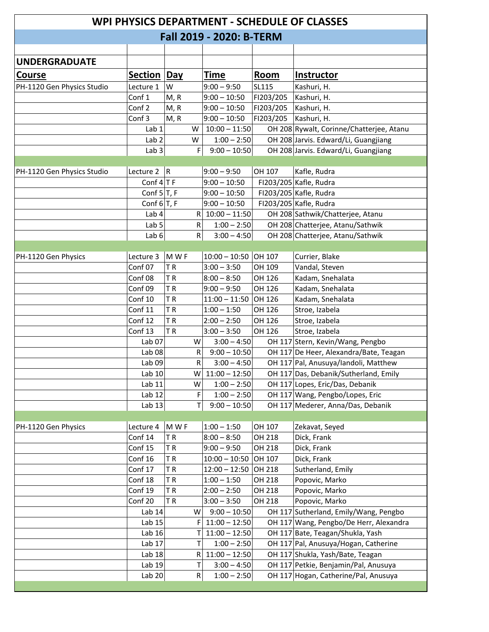| WPI PHYSICS DEPARTMENT - SCHEDULE OF CLASSES |                   |            |           |                   |           |                                          |  |  |
|----------------------------------------------|-------------------|------------|-----------|-------------------|-----------|------------------------------------------|--|--|
| Fall 2019 - 2020: B-TERM                     |                   |            |           |                   |           |                                          |  |  |
|                                              |                   |            |           |                   |           |                                          |  |  |
| <b>UNDERGRADUATE</b>                         |                   |            |           |                   |           |                                          |  |  |
|                                              |                   |            |           |                   |           |                                          |  |  |
| <b>Course</b>                                | <b>Section</b>    | <b>Day</b> |           | Time              | Room      | <b>Instructor</b>                        |  |  |
| PH-1120 Gen Physics Studio                   | Lecture 1         | W          |           | $9:00 - 9:50$     | SL115     | Kashuri, H.                              |  |  |
|                                              | Conf 1            | M, R       |           | $9:00 - 10:50$    | FI203/205 | Kashuri, H.                              |  |  |
|                                              | Conf 2            | M, R       |           | $9:00 - 10:50$    | FI203/205 | Kashuri, H.                              |  |  |
|                                              | Conf 3            | M, R       |           | $9:00 - 10:50$    | FI203/205 | Kashuri, H.                              |  |  |
|                                              | Lab 1             |            | W         | $10:00 - 11:50$   |           | OH 208 Rywalt, Corinne/Chatterjee, Atanu |  |  |
|                                              | Lab <sub>2</sub>  |            | W         | $1:00 - 2:50$     |           | OH 208 Jarvis. Edward/Li, Guangjiang     |  |  |
|                                              | Lab <sub>3</sub>  |            | F         | $9:00 - 10:50$    |           | OH 208 Jarvis. Edward/Li, Guangjiang     |  |  |
| PH-1120 Gen Physics Studio                   | Lecture 2         | R          |           | $9:00 - 9:50$     | OH 107    | Kafle, Rudra                             |  |  |
|                                              | Conf $4 T$ F      |            |           | $9:00 - 10:50$    |           | FI203/205 Kafle, Rudra                   |  |  |
|                                              | Conf $5 T, F$     |            |           | $9:00 - 10:50$    |           | FI203/205 Kafle, Rudra                   |  |  |
|                                              | Conf $6 T, F$     |            |           | $9:00 - 10:50$    |           | FI203/205 Kafle, Rudra                   |  |  |
|                                              | Lab 4             |            |           | $R$ 10:00 - 11:50 |           | OH 208 Sathwik/Chatterjee, Atanu         |  |  |
|                                              | Lab <sub>5</sub>  |            | R         | $1:00 - 2:50$     |           | OH 208 Chatterjee, Atanu/Sathwik         |  |  |
|                                              | Lab 6             |            | R         | $3:00 - 4:50$     |           | OH 208 Chatterjee, Atanu/Sathwik         |  |  |
|                                              |                   |            |           |                   |           |                                          |  |  |
| PH-1120 Gen Physics                          | Lecture 3         | M W F      |           | $10:00 - 10:50$   | OH 107    | Currier, Blake                           |  |  |
|                                              | Conf 07           | TR         |           | $3:00 - 3:50$     | OH 109    | Vandal, Steven                           |  |  |
|                                              | Conf 08           | TR         |           | $8:00 - 8:50$     | OH 126    | Kadam, Snehalata                         |  |  |
|                                              | Conf 09           | TR         |           | $9:00 - 9:50$     | OH 126    | Kadam, Snehalata                         |  |  |
|                                              | Conf 10           | TR         |           | $11:00 - 11:50$   | OH 126    | Kadam, Snehalata                         |  |  |
|                                              | Conf 11           | TR         |           | $1:00 - 1:50$     | OH 126    | Stroe, Izabela                           |  |  |
|                                              | Conf 12           | TR         |           | $2:00 - 2:50$     | OH 126    | Stroe, Izabela                           |  |  |
|                                              | Conf 13           | TR         |           | $3:00 - 3:50$     | OH 126    | Stroe, Izabela                           |  |  |
|                                              | Lab <sub>07</sub> |            | W         | $3:00 - 4:50$     |           | OH 117 Stern, Kevin/Wang, Pengbo         |  |  |
|                                              | Lab <sub>08</sub> |            | R         | $9:00 - 10:50$    |           | OH 117 De Heer, Alexandra/Bate, Teagan   |  |  |
|                                              | Lab <sub>09</sub> |            | R         | $3:00 - 4:50$     |           | OH 117 Pal, Anusuya/landoli, Matthew     |  |  |
|                                              | Lab 10            |            | W         | $11:00 - 12:50$   |           | OH 117 Das, Debanik/Sutherland, Emily    |  |  |
|                                              | Lab 11            |            | W         | $1:00 - 2:50$     |           | OH 117 Lopes, Eric/Das, Debanik          |  |  |
|                                              | Lab 12            |            | F         | $1:00 - 2:50$     |           | OH 117 Wang, Pengbo/Lopes, Eric          |  |  |
|                                              | Lab 13            |            | T         | $9:00 - 10:50$    |           | OH 117 Mederer, Anna/Das, Debanik        |  |  |
|                                              |                   |            |           |                   |           |                                          |  |  |
| PH-1120 Gen Physics                          | Lecture 4         | M W F      |           | $1:00 - 1:50$     | OH 107    | Zekavat, Seyed                           |  |  |
|                                              | Conf 14           | TR         |           | $8:00 - 8:50$     | OH 218    | Dick, Frank                              |  |  |
|                                              | Conf 15           | TR         |           | $9:00 - 9:50$     | OH 218    | Dick, Frank                              |  |  |
|                                              | Conf 16           | TR         |           | $10:00 - 10:50$   | OH 107    | Dick, Frank                              |  |  |
|                                              | Conf 17           | TR         |           | $12:00 - 12:50$   | OH 218    | Sutherland, Emily                        |  |  |
|                                              | Conf 18           | TR         |           | $1:00 - 1:50$     | OH 218    | Popovic, Marko                           |  |  |
|                                              | Conf 19           | TR         |           | $2:00 - 2:50$     | OH 218    | Popovic, Marko                           |  |  |
|                                              | Conf 20           | TR         |           | $3:00 - 3:50$     | OH 218    | Popovic, Marko                           |  |  |
|                                              | Lab 14            |            | w         | $9:00 - 10:50$    |           | OH 117 Sutherland, Emily/Wang, Pengbo    |  |  |
|                                              | Lab 15            |            | F         | $11:00 - 12:50$   |           | OH 117 Wang, Pengbo/De Herr, Alexandra   |  |  |
|                                              | Lab 16            |            | Τ         | $11:00 - 12:50$   |           | OH 117 Bate, Teagan/Shukla, Yash         |  |  |
|                                              | Lab 17            |            | Τ         | $1:00 - 2:50$     |           | OH 117 Pal, Anusuya/Hogan, Catherine     |  |  |
|                                              | Lab 18            |            | R         | $11:00 - 12:50$   |           | OH 117 Shukla, Yash/Bate, Teagan         |  |  |
|                                              | Lab 19            |            | Τ         | $3:00 - 4:50$     |           | OH 117 Petkie, Benjamin/Pal, Anusuya     |  |  |
|                                              | Lab <sub>20</sub> |            | ${\sf R}$ | $1:00 - 2:50$     |           | OH 117 Hogan, Catherine/Pal, Anusuya     |  |  |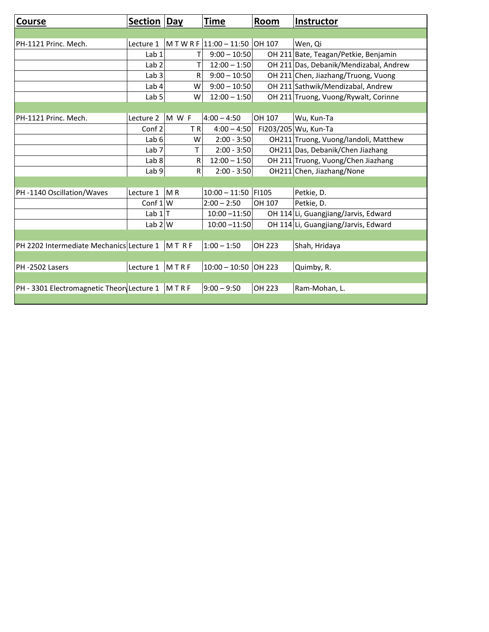| <b>Course</b>                              | <b>Section Day</b> |                | Time                           | Room   | Instructor                             |
|--------------------------------------------|--------------------|----------------|--------------------------------|--------|----------------------------------------|
|                                            |                    |                |                                |        |                                        |
| PH-1121 Princ. Mech.                       | Lecture 1          |                | M T W R F 11:00 - 11:50 OH 107 |        | Wen, Qi                                |
|                                            | Lab <sub>1</sub>   | т              | $9:00 - 10:50$                 |        | OH 211 Bate, Teagan/Petkie, Benjamin   |
|                                            | Lab <sub>2</sub>   | T              | $12:00 - 1:50$                 |        | OH 211 Das, Debanik/Mendizabal, Andrew |
|                                            | Lab <sub>3</sub>   | R              | $9:00 - 10:50$                 |        | OH 211 Chen, Jiazhang/Truong, Vuong    |
|                                            | Lab 4              | W              | $9:00 - 10:50$                 |        | OH 211 Sathwik/Mendizabal, Andrew      |
|                                            | Lab <sub>5</sub>   | W              | $12:00 - 1:50$                 |        | OH 211 Truong, Vuong/Rywalt, Corinne   |
|                                            |                    |                |                                |        |                                        |
| PH-1121 Princ. Mech.                       | Lecture 2          | M W F          | $4:00 - 4:50$                  | OH 107 | Wu, Kun-Ta                             |
|                                            | Conf <sub>2</sub>  | TR             | $4:00 - 4:50$                  |        | FI203/205 Wu, Kun-Ta                   |
|                                            | Lab <sub>6</sub>   | W              | $2:00 - 3:50$                  |        | OH211 Truong, Vuong/landoli, Matthew   |
|                                            | Lab <sub>7</sub>   | T.             | $2:00 - 3:50$                  |        | OH211 Das, Debanik/Chen Jiazhang       |
|                                            | Lab 8              | R              | $12:00 - 1:50$                 |        | OH 211 Truong, Vuong/Chen Jiazhang     |
|                                            | Lab <sub>9</sub>   | ${\sf R}$      | $2:00 - 3:50$                  |        | OH211 Chen, Jiazhang/None              |
|                                            |                    |                |                                |        |                                        |
| PH-1140 Oscillation/Waves                  | Lecture 1          | M <sub>R</sub> | $10:00 - 11:50$ FI105          |        | Petkie, D.                             |
|                                            | Conf $1 W$         |                | $2:00 - 2:50$                  | OH 107 | Petkie, D.                             |
|                                            | Lab $1 T$          |                | $10:00 - 11:50$                |        | OH 114 Li, Guangjiang/Jarvis, Edward   |
|                                            | Lab $2 W$          |                | $10:00 - 11:50$                |        | OH 114 Li, Guangjiang/Jarvis, Edward   |
|                                            |                    |                |                                |        |                                        |
| PH 2202 Intermediate Mechanics Lecture 1   |                    | MTRF           | $1:00 - 1:50$                  | OH 223 | Shah, Hridaya                          |
|                                            |                    |                |                                |        |                                        |
| PH-2502 Lasers                             | Lecture 1          | MTRF           | $10:00 - 10:50$                | OH 223 | Quimby, R.                             |
|                                            |                    |                |                                |        |                                        |
| PH - 3301 Electromagnetic Theory Lecture 1 |                    | MTRF           | $9:00 - 9:50$                  | OH 223 | Ram-Mohan, L.                          |
|                                            |                    |                |                                |        |                                        |